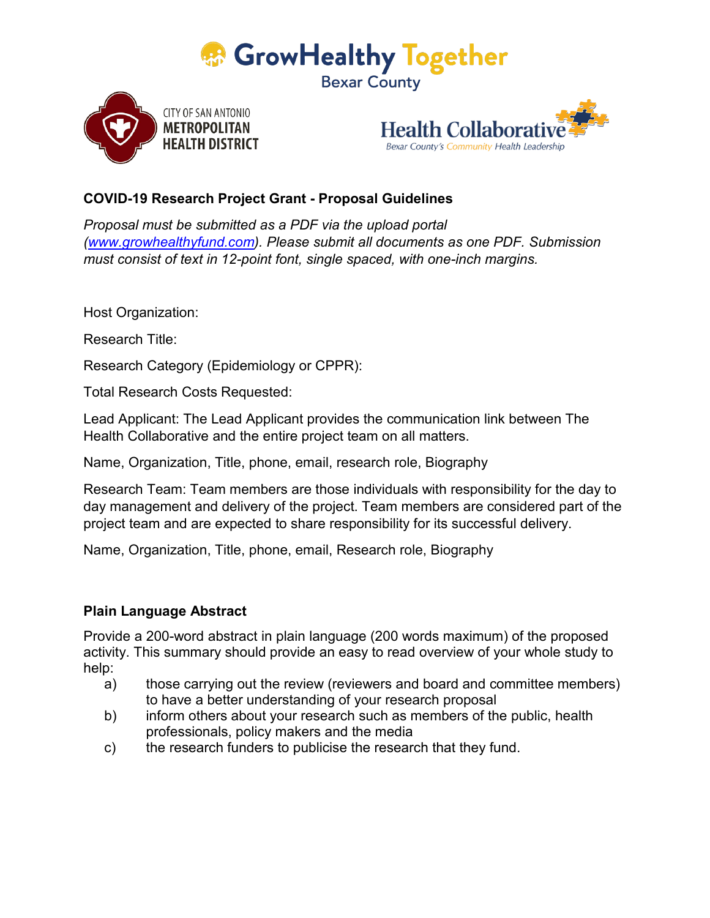





## **COVID-19 Research Project Grant - Proposal Guidelines**

*Proposal must be submitted as a PDF via the upload portal [\(www.growhealthyfund.com\)](http://www.growhealthyfund.com/). Please submit all documents as one PDF. Submission must consist of text in 12-point font, single spaced, with one-inch margins.*

Host Organization:

Research Title:

Research Category (Epidemiology or CPPR):

Total Research Costs Requested:

Lead Applicant: The Lead Applicant provides the communication link between The Health Collaborative and the entire project team on all matters.

Name, Organization, Title, phone, email, research role, Biography

Research Team: Team members are those individuals with responsibility for the day to day management and delivery of the project. Team members are considered part of the project team and are expected to share responsibility for its successful delivery.

Name, Organization, Title, phone, email, Research role, Biography

## **Plain Language Abstract**

Provide a 200-word abstract in plain language (200 words maximum) of the proposed activity. This summary should provide an easy to read overview of your whole study to help:

- a) those carrying out the review (reviewers and board and committee members) to have a better understanding of your research proposal
- b) inform others about your research such as members of the public, health professionals, policy makers and the media
- c) the research funders to publicise the research that they fund.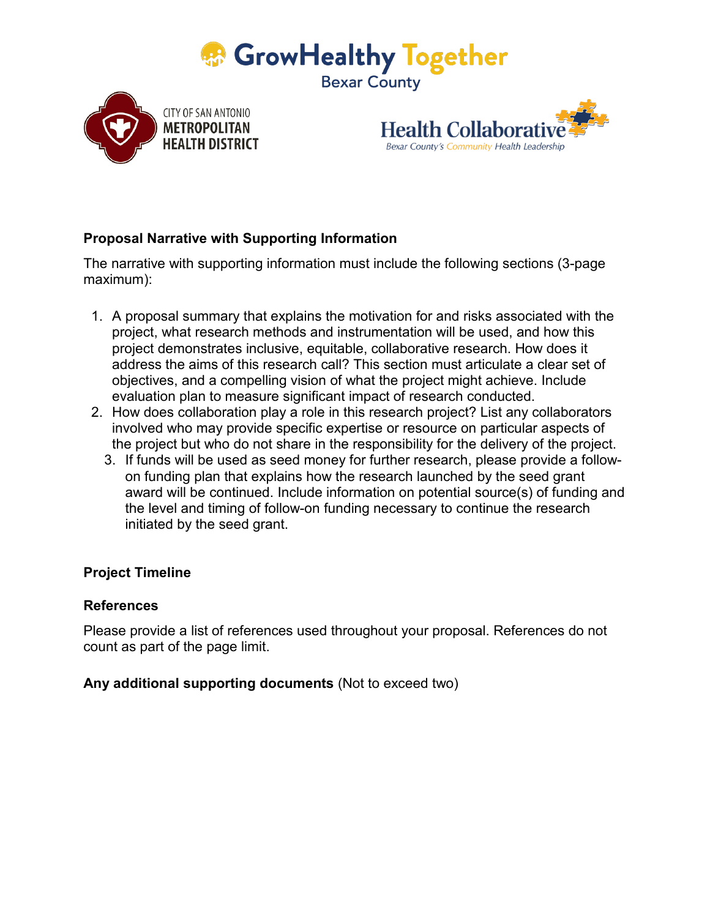





# **Proposal Narrative with Supporting Information**

The narrative with supporting information must include the following sections (3-page maximum):

- 1. A proposal summary that explains the motivation for and risks associated with the project, what research methods and instrumentation will be used, and how this project demonstrates inclusive, equitable, collaborative research. How does it address the aims of this research call? This section must articulate a clear set of objectives, and a compelling vision of what the project might achieve. Include evaluation plan to measure significant impact of research conducted.
- 2. How does collaboration play a role in this research project? List any collaborators involved who may provide specific expertise or resource on particular aspects of the project but who do not share in the responsibility for the delivery of the project.
	- 3. If funds will be used as seed money for further research, please provide a followon funding plan that explains how the research launched by the seed grant award will be continued. Include information on potential source(s) of funding and the level and timing of follow-on funding necessary to continue the research initiated by the seed grant.

## **Project Timeline**

#### **References**

Please provide a list of references used throughout your proposal. References do not count as part of the page limit.

#### **Any additional supporting documents** (Not to exceed two)